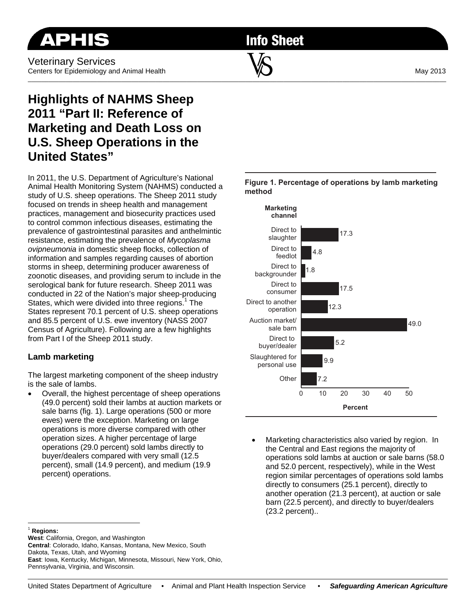**Info Sheet** 

# **Highlights of NAHMS Sheep 2011 "Part II: Reference of Marketing and Death Loss on U.S. Sheep Operations in the United States"**

In 2011, the U.S. Department of Agriculture's National Animal Health Monitoring System (NAHMS) conducted a study of U.S. sheep operations. The Sheep 2011 study focused on trends in sheep health and management practices, management and biosecurity practices used to control common infectious diseases, estimating the prevalence of gastrointestinal parasites and anthelmintic resistance, estimating the prevalence of *Mycoplasma ovipneumonia* in domestic sheep flocks, collection of information and samples regarding causes of abortion storms in sheep, determining producer awareness of zoonotic diseases, and providing serum to include in the serological bank for future research. Sheep 2011 was conducted in 22 of the Nation's major sheep-producing States, which were divided into three regions.<sup>1</sup> The States represent 70.1 percent of U.S. sheep operations and 85.5 percent of U.S. ewe inventory (NASS 2007 Census of Agriculture). Following are a few highlights from Part I of the Sheep 2011 study.

#### **Lamb marketing**

The largest marketing component of the sheep industry is the sale of lambs.

 Overall, the highest percentage of sheep operations (49.0 percent) sold their lambs at auction markets or sale barns (fig. 1). Large operations (500 or more ewes) were the exception. Marketing on large operations is more diverse compared with other operation sizes. A higher percentage of large operations (29.0 percent) sold lambs directly to buyer/dealers compared with very small (12.5 percent), small (14.9 percent), and medium (19.9 percent) operations.





 Marketing characteristics also varied by region. In the Central and East regions the majority of operations sold lambs at auction or sale barns (58.0 and 52.0 percent, respectively), while in the West region similar percentages of operations sold lambs directly to consumers (25.1 percent), directly to another operation (21.3 percent), at auction or sale barn (22.5 percent), and directly to buyer/dealers (23.2 percent)..

 $\overline{a}$ <sup>1</sup> **Regions:**

**West**: California, Oregon, and Washington **Central**: Colorado, Idaho, Kansas, Montana, New Mexico, South Dakota, Texas, Utah, and Wyoming **East**: Iowa, Kentucky, Michigan, Minnesota, Missouri, New York, Ohio, Pennsylvania, Virginia, and Wisconsin.